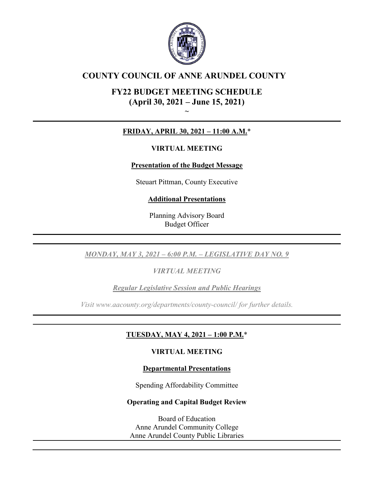

# **COUNTY COUNCIL OF ANNE ARUNDEL COUNTY**

# **FY22 BUDGET MEETING SCHEDULE (April 30, 2021 – June 15, 2021)**

**~**

# **FRIDAY, APRIL 30, 2021 – 11:00 A.M.**\*

# **VIRTUAL MEETING**

# **Presentation of the Budget Message**

Steuart Pittman, County Executive

# **Additional Presentations**

Planning Advisory Board Budget Officer

*MONDAY, MAY 3, 2021 – 6:00 P.M. – LEGISLATIVE DAY NO. 9*

*VIRTUAL MEETING* 

*Regular Legislative Session and Public Hearings*

*Visit www.aacounty.org/departments/county-council/ for further details.*

# **TUESDAY, MAY 4, 2021 – 1:00 P.M.**\*

# **VIRTUAL MEETING**

# **Departmental Presentations**

Spending Affordability Committee

# **Operating and Capital Budget Review**

Board of Education Anne Arundel Community College Anne Arundel County Public Libraries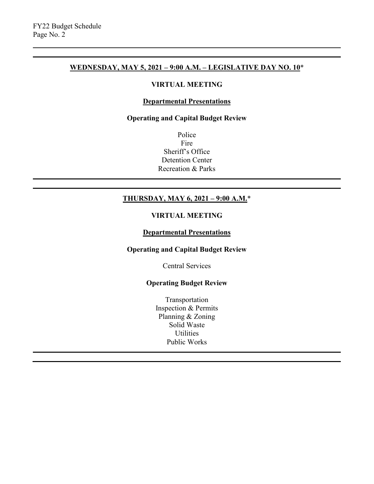## **WEDNESDAY, MAY 5, 2021 – 9:00 A.M. – LEGISLATIVE DAY NO. 10**\*

#### **VIRTUAL MEETING**

## **Departmental Presentations**

#### **Operating and Capital Budget Review**

Police Fire Sheriff's Office Detention Center Recreation & Parks

# **THURSDAY, MAY 6, 2021 – 9:00 A.M.**\*

## **VIRTUAL MEETING**

#### **Departmental Presentations**

## **Operating and Capital Budget Review**

Central Services

## **Operating Budget Review**

Transportation Inspection & Permits Planning & Zoning Solid Waste **Utilities** Public Works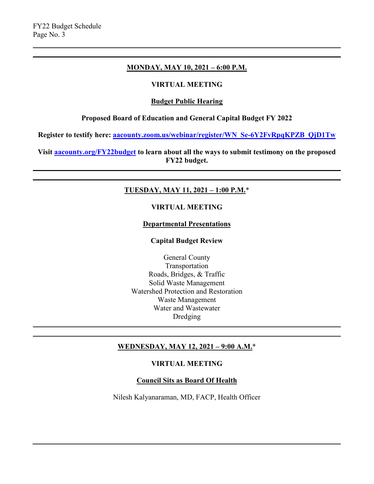#### **MONDAY, MAY 10, 2021 – 6:00 P.M.**

## **VIRTUAL MEETING**

#### **Budget Public Hearing**

## **Proposed Board of Education and General Capital Budget FY 2022**

**Register to testify here: [aacounty.zoom.us/webinar/register/WN\\_Se-6Y2FvRpqKPZB\\_QjD1Tw](https://aacounty.zoom.us/webinar/register/WN_Se-6Y2FvRpqKPZB_QjD1Tw)**

**Visit aacounty.org/FY22budget to learn about all the ways to submit testimony on the proposed FY22 budget.**

## **TUESDAY, MAY 11, 2021 – 1:00 P.M.**\*

#### **VIRTUAL MEETING**

#### **Departmental Presentations**

#### **Capital Budget Review**

General County Transportation Roads, Bridges, & Traffic Solid Waste Management Watershed Protection and Restoration Waste Management Water and Wastewater Dredging

## **WEDNESDAY, MAY 12, 2021 – 9:00 A.M.**\*

#### **VIRTUAL MEETING**

## **Council Sits as Board Of Health**

Nilesh Kalyanaraman, MD, FACP, Health Officer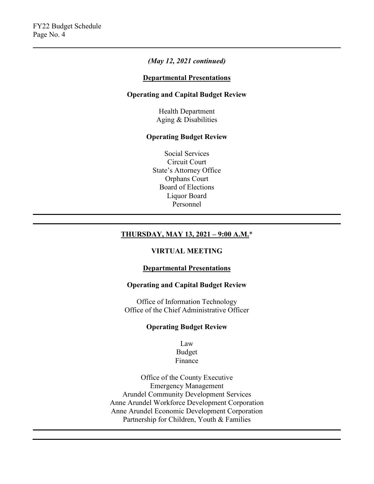## *(May 12, 2021 continued)*

#### **Departmental Presentations**

## **Operating and Capital Budget Review**

Health Department Aging & Disabilities

#### **Operating Budget Review**

Social Services Circuit Court State's Attorney Office Orphans Court Board of Elections Liquor Board Personnel

## **THURSDAY, MAY 13, 2021 – 9:00 A.M.**\*

## **VIRTUAL MEETING**

#### **Departmental Presentations**

#### **Operating and Capital Budget Review**

Office of Information Technology Office of the Chief Administrative Officer

### **Operating Budget Review**

Law Budget Finance

Office of the County Executive Emergency Management Arundel Community Development Services Anne Arundel Workforce Development Corporation Anne Arundel Economic Development Corporation Partnership for Children, Youth & Families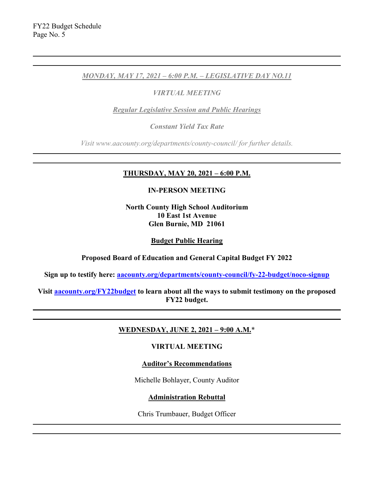## *MONDAY, MAY 17, 2021 – 6:00 P.M. – LEGISLATIVE DAY NO.11*

## *VIRTUAL MEETING*

*Regular Legislative Session and Public Hearings*

*Constant Yield Tax Rate*

*Visit www.aacounty.org/departments/county-council/ for further details.*

## **THURSDAY, MAY 20, 2021 – 6:00 P.M.**

#### **IN-PERSON MEETING**

**North County High School Auditorium 10 East 1st Avenue Glen Burnie, MD 21061**

#### **Budget Public Hearing**

**Proposed Board of Education and General Capital Budget FY 2022**

**Sign up to testify here: [aacounty.org/departments/county-council/fy-22-budget/noco-signup](http://www.aacounty.org/departments/county-council/fy-22-budget/noco-signup)**

**Visit aacounty.org/FY22budget to learn about all the ways to submit testimony on the proposed FY22 budget.**

## **WEDNESDAY, JUNE 2, 2021 – 9:00 A.M.**\*

## **VIRTUAL MEETING**

## **Auditor's Recommendations**

Michelle Bohlayer, County Auditor

## **Administration Rebuttal**

Chris Trumbauer, Budget Officer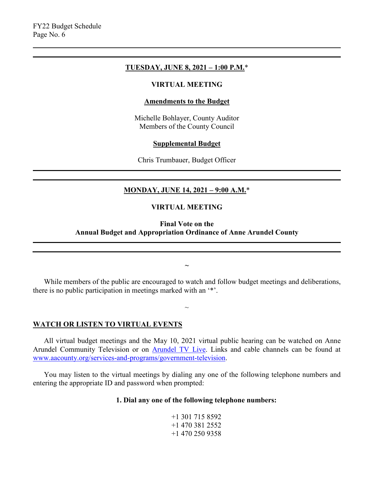#### **TUESDAY, JUNE 8, 2021 – 1:00 P.M.**\*

#### **VIRTUAL MEETING**

#### **Amendments to the Budget**

Michelle Bohlayer, County Auditor Members of the County Council

#### **Supplemental Budget**

Chris Trumbauer, Budget Officer

## **MONDAY, JUNE 14, 2021 – 9:00 A.M.**\*

#### **VIRTUAL MEETING**

### **Final Vote on the Annual Budget and Appropriation Ordinance of Anne Arundel County**

While members of the public are encouraged to watch and follow budget meetings and deliberations, there is no public participation in meetings marked with an '\*'.

 $\sim$ 

**~**

#### **WATCH OR LISTEN TO VIRTUAL EVENTS**

All virtual budget meetings and the May 10, 2021 virtual public hearing can be watched on Anne Arundel Community Television or on [Arundel TV Live.](http://aac.cablecast.tv/cablecastapi/live?channel_id=1&use_cdn=true) Links and cable channels can be found at [www.aacounty.org/services-and-programs/government-television.](http://www.aacounty.org/services-and-programs/government-television)

You may listen to the virtual meetings by dialing any one of the following telephone numbers and entering the appropriate ID and password when prompted:

#### **1. Dial any one of the following telephone numbers:**

+1 301 715 8592 +1 470 381 2552 +1 470 250 9358